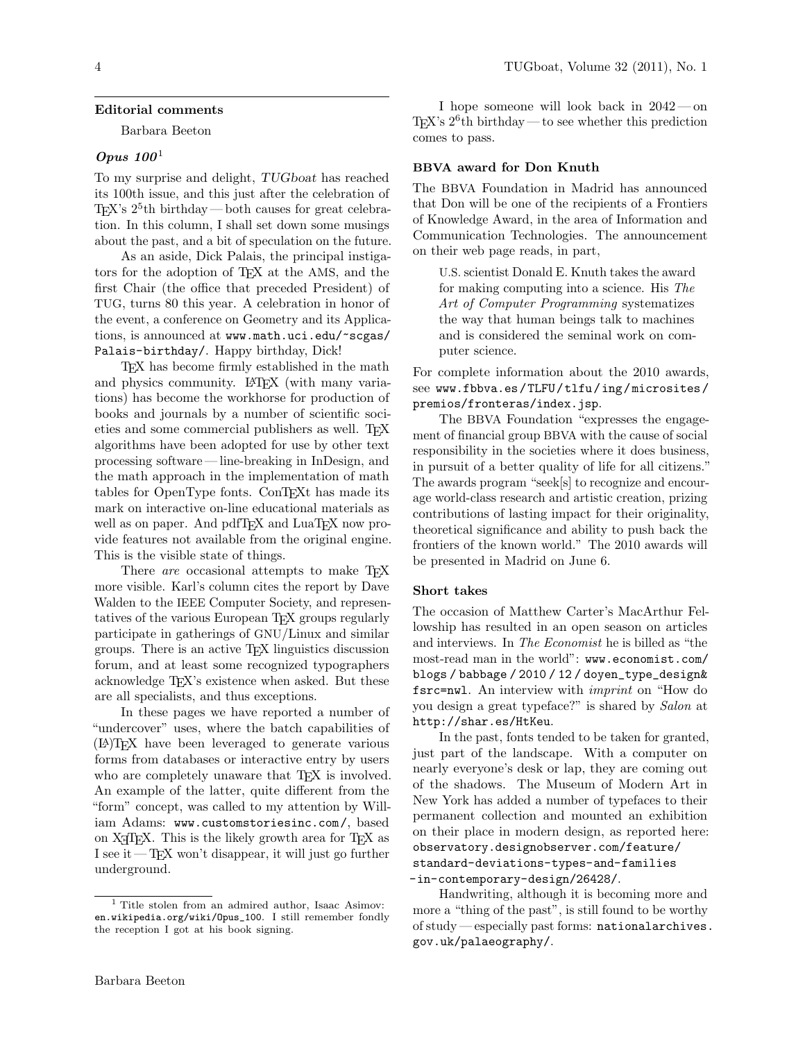#### Editorial comments

Barbara Beeton

# Opus 100<sup>1</sup>

To my surprise and delight, TUGboat has reached its 100th issue, and this just after the celebration of TEX's  $2^5$ <sup>th</sup> birthday—both causes for great celebration. In this column, I shall set down some musings about the past, and a bit of speculation on the future.

As an aside, Dick Palais, the principal instigators for the adoption of TEX at the AMS, and the first Chair (the office that preceded President) of TUG, turns 80 this year. A celebration in honor of the event, a conference on Geometry and its Applications, is announced at www.math.uci.edu/~scgas/ Palais-birthday/. Happy birthday, Dick!

TEX has become firmly established in the math and physics community. LATEX (with many variations) has become the workhorse for production of books and journals by a number of scientific societies and some commercial publishers as well. TFX algorithms have been adopted for use by other text processing software — line-breaking in InDesign, and the math approach in the implementation of math tables for OpenType fonts. ConTEXt has made its mark on interactive on-line educational materials as well as on paper. And pdfT<sub>F</sub>X and LuaT<sub>F</sub>X now provide features not available from the original engine. This is the visible state of things.

There *are* occasional attempts to make T<sub>E</sub>X more visible. Karl's column cites the report by Dave Walden to the IEEE Computer Society, and representatives of the various European TEX groups regularly participate in gatherings of GNU/Linux and similar groups. There is an active TEX linguistics discussion forum, and at least some recognized typographers acknowledge TEX's existence when asked. But these are all specialists, and thus exceptions.

In these pages we have reported a number of "undercover" uses, where the batch capabilities of (LA)TEX have been leveraged to generate various forms from databases or interactive entry by users who are completely unaware that T<sub>EX</sub> is involved. An example of the latter, quite different from the "form" concept, was called to my attention by William Adams: www.customstoriesinc.com/, based on X<sub>T</sub>T<sub>E</sub>X. This is the likely growth area for T<sub>E</sub>X as I see it  $-\text{Tr}X$  won't disappear, it will just go further underground.

I hope someone will look back in 2042— on T<sub>E</sub>X's  $2^6$ <sup>th</sup> birthday—to see whether this prediction comes to pass.

## BBVA award for Don Knuth

The BBVA Foundation in Madrid has announced that Don will be one of the recipients of a Frontiers of Knowledge Award, in the area of Information and Communication Technologies. The announcement on their web page reads, in part,

U.S. scientist Donald E. Knuth takes the award for making computing into a science. His The Art of Computer Programming systematizes the way that human beings talk to machines and is considered the seminal work on computer science.

For complete information about the 2010 awards, see www.fbbva.es/TLFU/tlfu/ing/microsites/ premios/fronteras/index.jsp.

The BBVA Foundation "expresses the engagement of financial group BBVA with the cause of social responsibility in the societies where it does business, in pursuit of a better quality of life for all citizens." The awards program "seek[s] to recognize and encourage world-class research and artistic creation, prizing contributions of lasting impact for their originality, theoretical significance and ability to push back the frontiers of the known world." The 2010 awards will be presented in Madrid on June 6.

## Short takes

The occasion of Matthew Carter's MacArthur Fellowship has resulted in an open season on articles and interviews. In The Economist he is billed as "the most-read man in the world": www.economist.com/ blogs / babbage / 2010 / 12 / doyen\_type\_design& fsrc=nwl. An interview with imprint on "How do you design a great typeface?" is shared by Salon at http://shar.es/HtKeu.

In the past, fonts tended to be taken for granted, just part of the landscape. With a computer on nearly everyone's desk or lap, they are coming out of the shadows. The Museum of Modern Art in New York has added a number of typefaces to their permanent collection and mounted an exhibition on their place in modern design, as reported here: observatory.designobserver.com/feature/ standard-deviations-types-and-families -in-contemporary-design/26428/.

Handwriting, although it is becoming more and more a "thing of the past", is still found to be worthy of study — especially past forms: nationalarchives. gov.uk/palaeography/.

<sup>1</sup> Title stolen from an admired author, Isaac Asimov: en.wikipedia.org/wiki/Opus\_100. I still remember fondly the reception I got at his book signing.